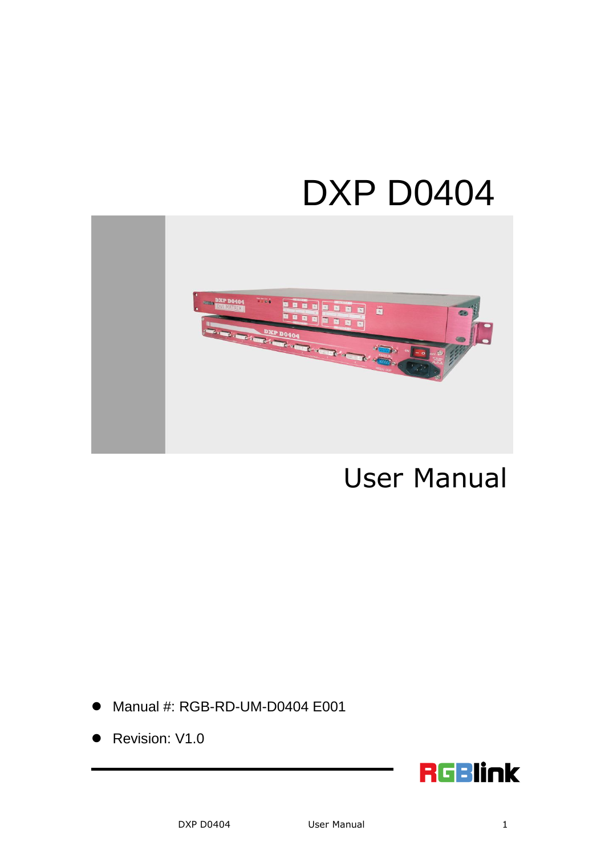# DXP D0404



# User Manual

- Manual #: RGB-RD-UM-D0404 E001
- Revision: V1.0

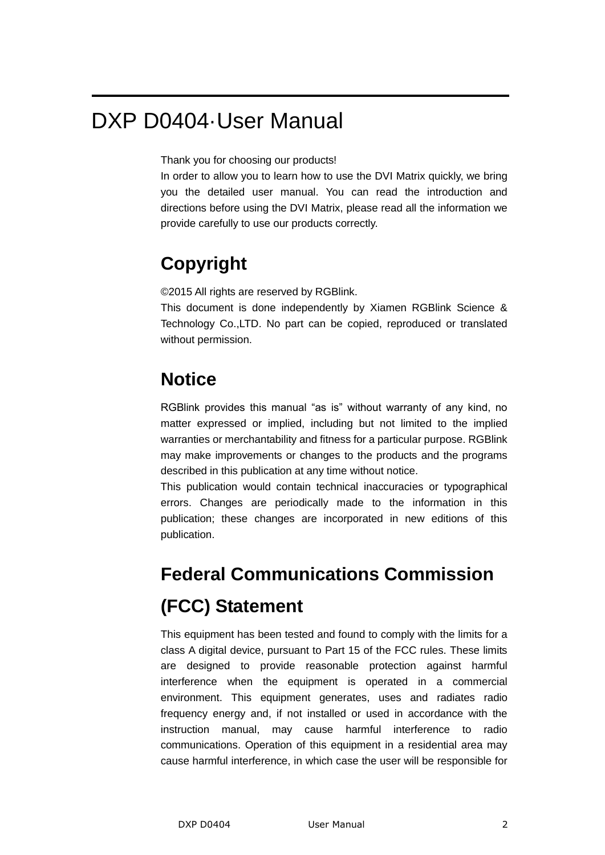## DXP D0404·User Manual

Thank you for choosing our products!

In order to allow you to learn how to use the DVI Matrix quickly, we bring you the detailed user manual. You can read the introduction and directions before using the DVI Matrix, please read all the information we provide carefully to use our products correctly.

### **Copyright**

©2015 All rights are reserved by RGBlink.

This document is done independently by Xiamen RGBlink Science & Technology Co.,LTD. No part can be copied, reproduced or translated without permission.

#### **Notice**

RGBlink provides this manual "as is" without warranty of any kind, no matter expressed or implied, including but not limited to the implied warranties or merchantability and fitness for a particular purpose. RGBlink may make improvements or changes to the products and the programs described in this publication at any time without notice.

This publication would contain technical inaccuracies or typographical errors. Changes are periodically made to the information in this publication; these changes are incorporated in new editions of this publication.

## **Federal Communications Commission (FCC) Statement**

This equipment has been tested and found to comply with the limits for a class A digital device, pursuant to Part 15 of the FCC rules. These limits are designed to provide reasonable protection against harmful interference when the equipment is operated in a commercial environment. This equipment generates, uses and radiates radio frequency energy and, if not installed or used in accordance with the instruction manual, may cause harmful interference to radio communications. Operation of this equipment in a residential area may cause harmful interference, in which case the user will be responsible for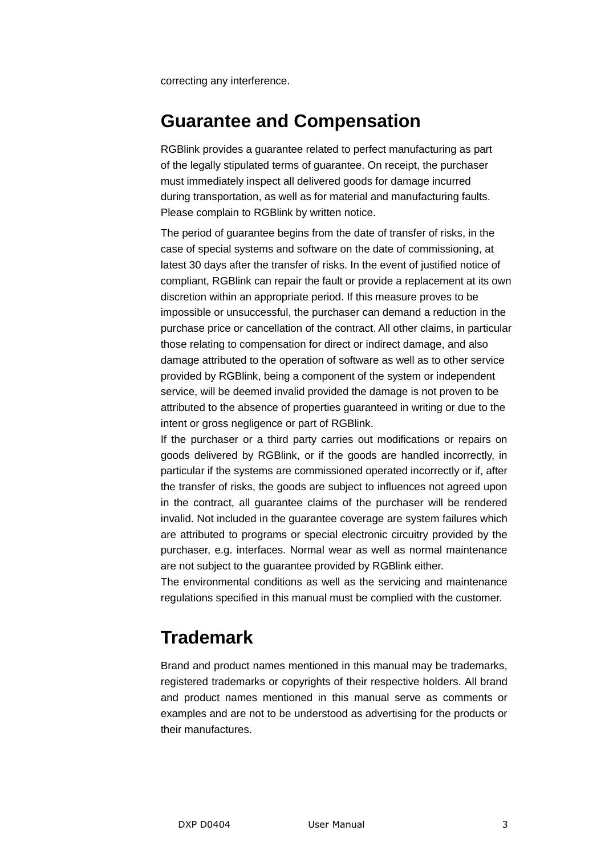correcting any interference.

#### **Guarantee and Compensation**

RGBlink provides a guarantee related to perfect manufacturing as part of the legally stipulated terms of guarantee. On receipt, the purchaser must immediately inspect all delivered goods for damage incurred during transportation, as well as for material and manufacturing faults. Please complain to RGBlink by written notice.

The period of guarantee begins from the date of transfer of risks, in the case of special systems and software on the date of commissioning, at latest 30 days after the transfer of risks. In the event of justified notice of compliant, RGBlink can repair the fault or provide a replacement at its own discretion within an appropriate period. If this measure proves to be impossible or unsuccessful, the purchaser can demand a reduction in the purchase price or cancellation of the contract. All other claims, in particular those relating to compensation for direct or indirect damage, and also damage attributed to the operation of software as well as to other service provided by RGBlink, being a component of the system or independent service, will be deemed invalid provided the damage is not proven to be attributed to the absence of properties guaranteed in writing or due to the intent or gross negligence or part of RGBlink.

If the purchaser or a third party carries out modifications or repairs on goods delivered by RGBlink, or if the goods are handled incorrectly, in particular if the systems are commissioned operated incorrectly or if, after the transfer of risks, the goods are subject to influences not agreed upon in the contract, all guarantee claims of the purchaser will be rendered invalid. Not included in the guarantee coverage are system failures which are attributed to programs or special electronic circuitry provided by the purchaser, e.g. interfaces. Normal wear as well as normal maintenance are not subject to the guarantee provided by RGBlink either.

The environmental conditions as well as the servicing and maintenance regulations specified in this manual must be complied with the customer.

#### **Trademark**

Brand and product names mentioned in this manual may be trademarks, registered trademarks or copyrights of their respective holders. All brand and product names mentioned in this manual serve as comments or examples and are not to be understood as advertising for the products or their manufactures.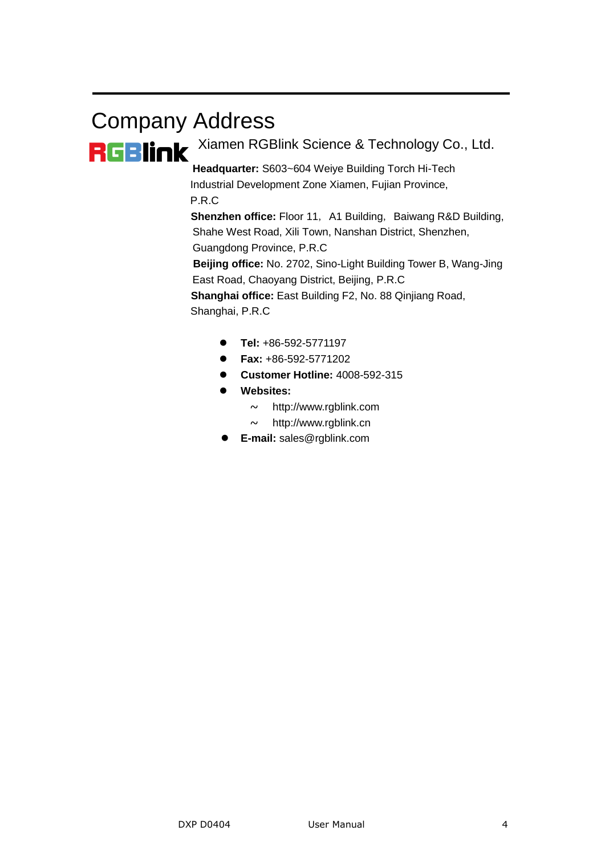# Company Address RGBINK Xiamen RGBlink Science & Technology Co., Ltd.

 **Headquarter:** S603~604 Weiye Building Torch Hi-Tech Industrial Development Zone Xiamen, Fujian Province, P.R.C

**Shenzhen office:** Floor 11, A1 Building, Baiwang R&D Building, Shahe West Road, Xili Town, Nanshan District, Shenzhen, Guangdong Province, P.R.C

 **Beijing office:** No. 2702, Sino-Light Building Tower B, Wang-Jing East Road, Chaoyang District, Beijing, P.R.C

**Shanghai office:** East Building F2, No. 88 Qinjiang Road,

Shanghai, P.R.C

- **Tel:** +86-592-5771197
- **Fax:** +86-592-5771202
- **Customer Hotline:** 4008-592-315
- **Websites:** 
	- $\sim$  http://www.rablink.com
	- $\sim$  http://www.rgblink.cn
- **E-mail:** [sales@rgblink.com](mailto:rgblinkcs@gmail.com)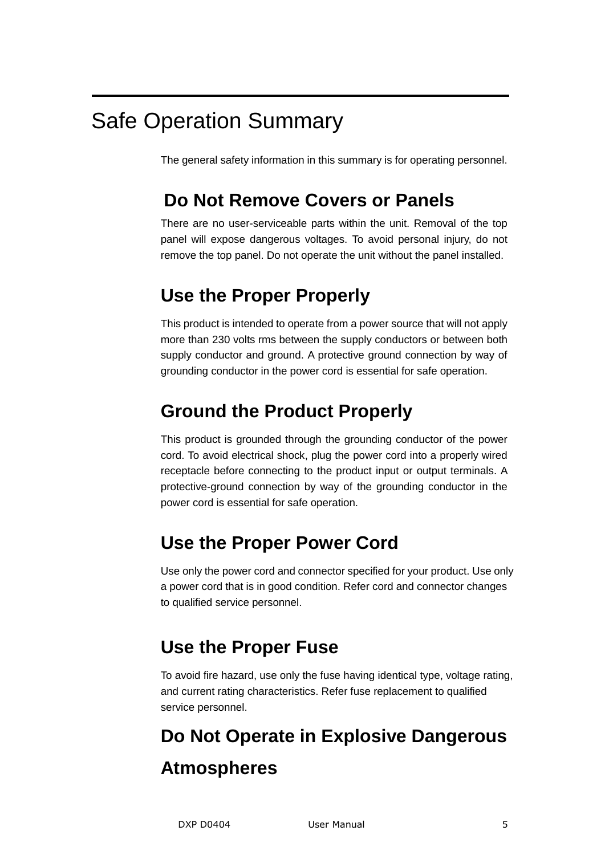## Safe Operation Summary

The general safety information in this summary is for operating personnel.

### **Do Not Remove Covers or Panels**

There are no user-serviceable parts within the unit. Removal of the top panel will expose dangerous voltages. To avoid personal injury, do not remove the top panel. Do not operate the unit without the panel installed.

### **Use the Proper Properly**

This product is intended to operate from a power source that will not apply more than 230 volts rms between the supply conductors or between both supply conductor and ground. A protective ground connection by way of grounding conductor in the power cord is essential for safe operation.

### **Ground the Product Properly**

This product is grounded through the grounding conductor of the power cord. To avoid electrical shock, plug the power cord into a properly wired receptacle before connecting to the product input or output terminals. A protective-ground connection by way of the grounding conductor in the power cord is essential for safe operation.

### **Use the Proper Power Cord**

Use only the power cord and connector specified for your product. Use only a power cord that is in good condition. Refer cord and connector changes to qualified service personnel.

### **Use the Proper Fuse**

To avoid fire hazard, use only the fuse having identical type, voltage rating, and current rating characteristics. Refer fuse replacement to qualified service personnel.

## **Do Not Operate in Explosive Dangerous Atmospheres**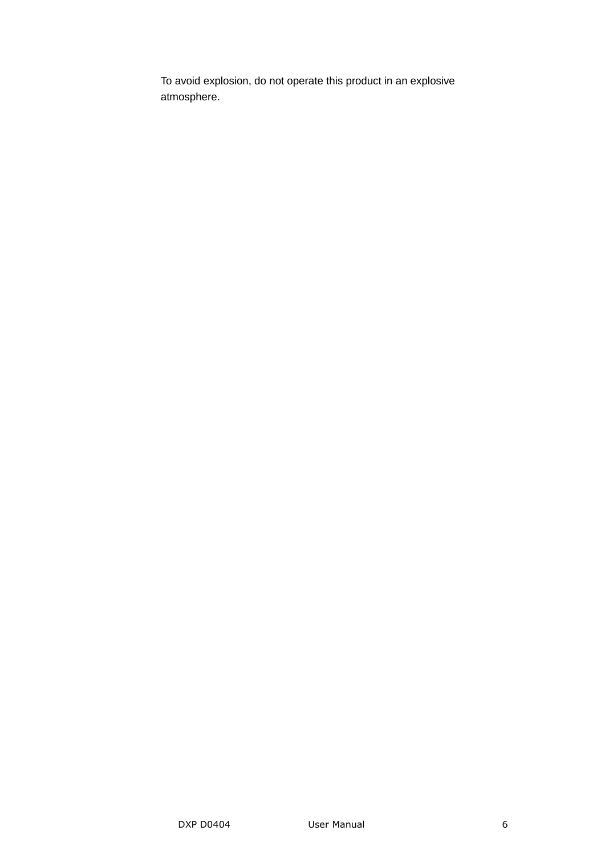To avoid explosion, do not operate this product in an explosive atmosphere.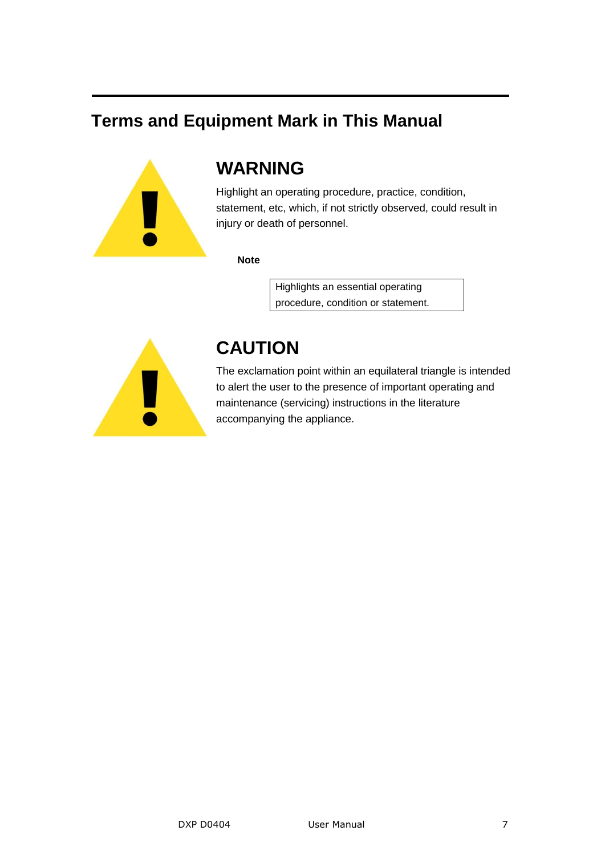#### **Terms and Equipment Mark in This Manual**



#### **WARNING**

Highlight an operating procedure, practice, condition, statement, etc, which, if not strictly observed, could result in injury or death of personnel.

#### **Note**

Highlights an essential operating procedure, condition or statement.



#### **CAUTION**

The exclamation point within an equilateral triangle is intended to alert the user to the presence of important operating and maintenance (servicing) instructions in the literature accompanying the appliance.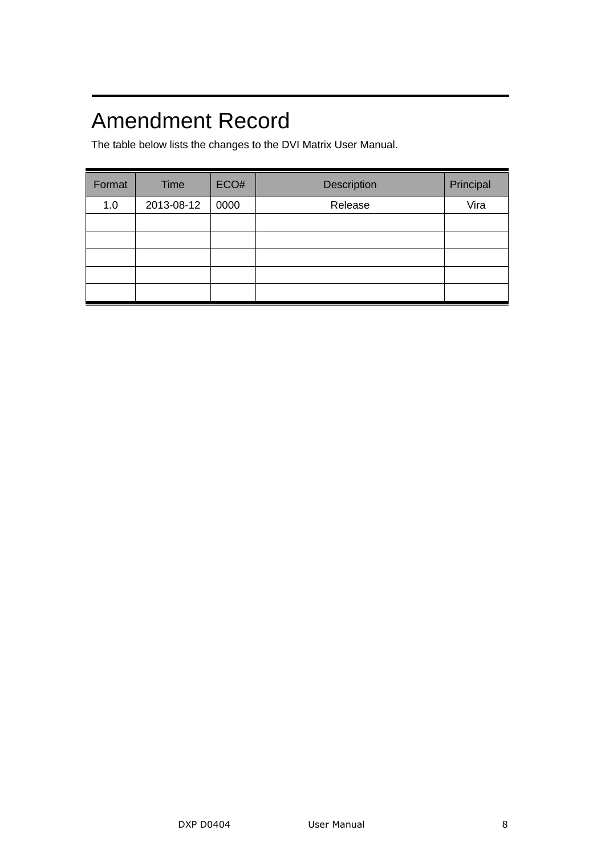## Amendment Record

The table below lists the changes to the DVI Matrix User Manual.

| Format | Time       | ECO# | Description | Principal |
|--------|------------|------|-------------|-----------|
| 1.0    | 2013-08-12 | 0000 | Release     | Vira      |
|        |            |      |             |           |
|        |            |      |             |           |
|        |            |      |             |           |
|        |            |      |             |           |
|        |            |      |             |           |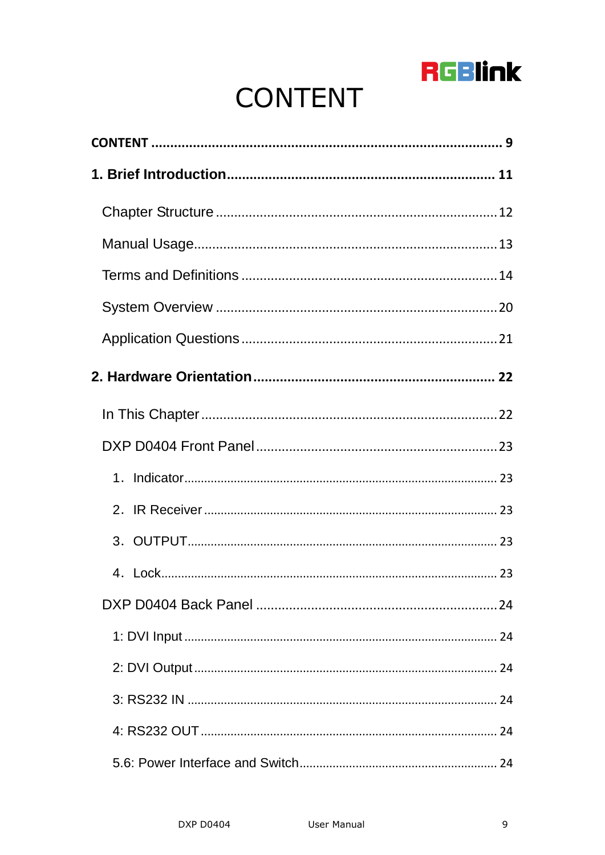

# **CONTENT**

<span id="page-8-0"></span>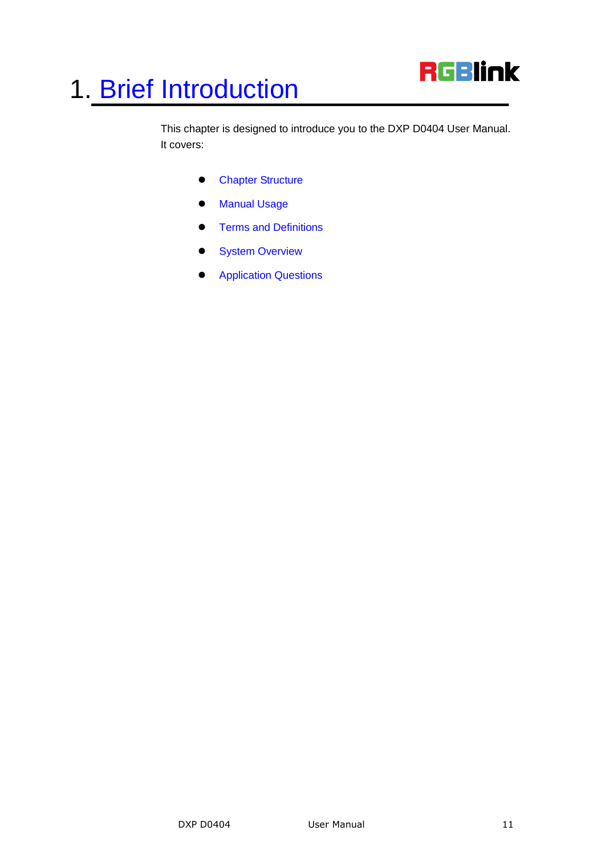

<span id="page-10-2"></span><span id="page-10-1"></span><span id="page-10-0"></span>This chapter is designed to introduce you to the DXP D0404 User Manual. It covers:

- **•** [Chapter Structure](#page-11-0)
- [Manual](#page-12-0) Usage
- <span id="page-10-3"></span>**•** [Terms and Definitions](#page-13-0)
- <span id="page-10-4"></span>**•** [System Overview](#page-19-0)
- <span id="page-10-5"></span>**•** [Application Questions](#page-20-1)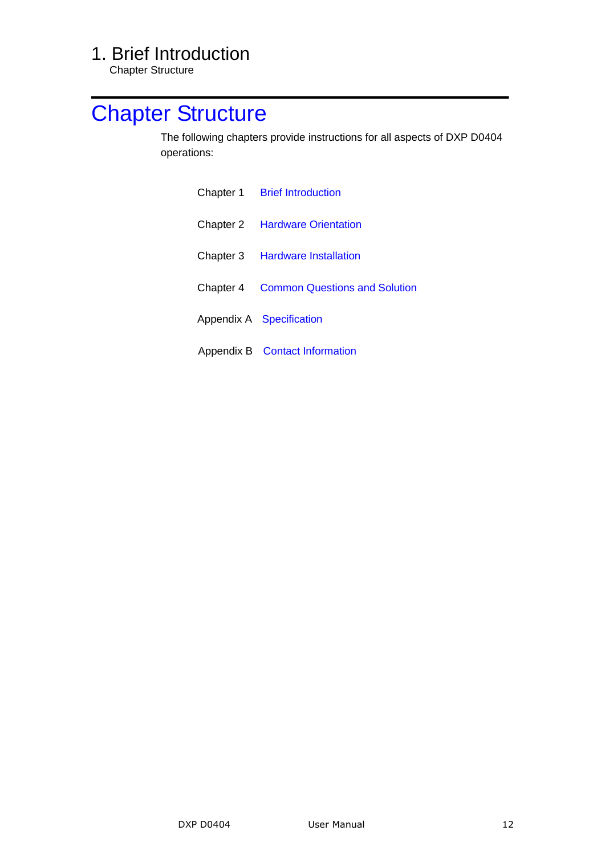Chapter Structure

## <span id="page-11-1"></span><span id="page-11-0"></span>[Chapter Structure](#page-10-1)

<span id="page-11-2"></span>The following chapters provide instructions for all aspects of DXP D0404 operations:

<span id="page-11-6"></span><span id="page-11-5"></span><span id="page-11-4"></span><span id="page-11-3"></span>

| Chapter 1 Brief Introduction                   |
|------------------------------------------------|
| <b>Chapter 2 Hardware Orientation</b>          |
| Chapter 3 Hardware Installation                |
| <b>Chapter 4 Common Questions and Solution</b> |
| Appendix A Specification                       |
| Appendix B Contact Information                 |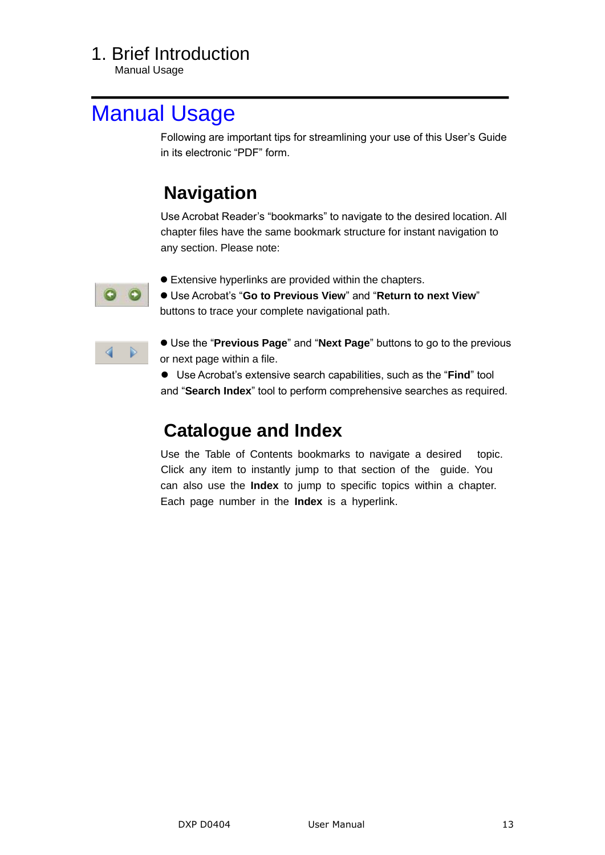Manual Usage

## <span id="page-12-0"></span>[Manual](#page-10-2) Usage

Following are important tips for streamlining your use of this User's Guide in its electronic "PDF" form.

## **Navigation**

Use Acrobat Reader's "bookmarks" to navigate to the desired location. All chapter files have the same bookmark structure for instant navigation to any section. Please note:



Extensive hyperlinks are provided within the chapters.

 $\bullet$  Use Acrobat's "Go to Previous View" and "Return to next View" buttons to trace your complete navigational path.



● Use the "Previous Page" and "Next Page" buttons to go to the previous or next page within a file.

● Use Acrobat's extensive search capabilities, such as the "Find" tool and "Search Index" tool to perform comprehensive searches as required.

### **Catalogue and Index**

Use the Table of Contents bookmarks to navigate a desired topic. Click any item to instantly jump to that section of the guide. You can also use the **Index** to jump to specific topics within a chapter. Each page number in the **Index** is a hyperlink.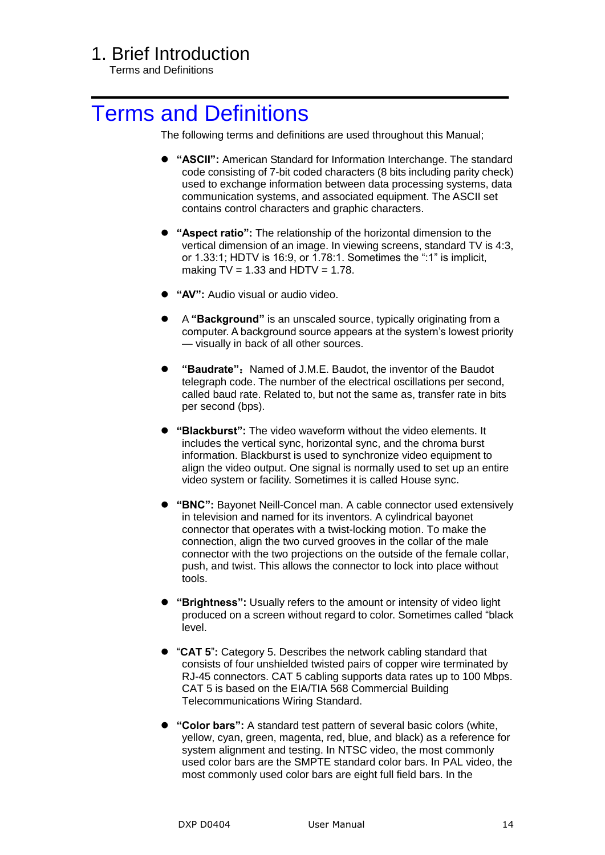Terms and Definitions

## <span id="page-13-0"></span>[Terms and Definitions](#page-10-3)

The following terms and definitions are used throughout this Manual;

- **"ASCII":** American Standard for Information Interchange. The standard code consisting of 7-bit coded characters (8 bits including parity check) used to exchange information between data processing systems, data communication systems, and associated equipment. The ASCII set contains control characters and graphic characters.
- **"Aspect ratio":** The relationship of the horizontal dimension to the vertical dimension of an image. In viewing screens, standard TV is 4:3, or 1.33:1; HDTV is 16:9, or 1.78:1. Sometimes the ":1" is implicit, making  $TV = 1.33$  and  $HDTV = 1.78$ .
- **"AV":** Audio visual or audio video.
- A **"Background"** is an unscaled source, typically originating from a computer. A background source appears at the system's lowest priority — visually in back of all other sources.
- "Baudrate": Named of J.M.E. Baudot, the inventor of the Baudot telegraph code. The number of the electrical oscillations per second, called baud rate. Related to, but not the same as, transfer rate in bits per second (bps).
- **"Blackburst":** The video waveform without the video elements. It includes the vertical sync, horizontal sync, and the chroma burst information. Blackburst is used to synchronize video equipment to align the video output. One signal is normally used to set up an entire video system or facility. Sometimes it is called House sync.
- **"BNC":** Bayonet Neill-Concel man. A cable connector used extensively in television and named for its inventors. A cylindrical bayonet connector that operates with a twist-locking motion. To make the connection, align the two curved grooves in the collar of the male connector with the two projections on the outside of the female collar, push, and twist. This allows the connector to lock into place without tools.
- **"Brightness":** Usually refers to the amount or intensity of video light produced on a screen without regard to color. Sometimes called "black" level.
- "CAT 5": Category 5. Describes the network cabling standard that consists of four unshielded twisted pairs of copper wire terminated by RJ-45 connectors. CAT 5 cabling supports data rates up to 100 Mbps. CAT 5 is based on the EIA/TIA 568 Commercial Building Telecommunications Wiring Standard.
- **"Color bars":** A standard test pattern of several basic colors (white, yellow, cyan, green, magenta, red, blue, and black) as a reference for system alignment and testing. In NTSC video, the most commonly used color bars are the SMPTE standard color bars. In PAL video, the most commonly used color bars are eight full field bars. In the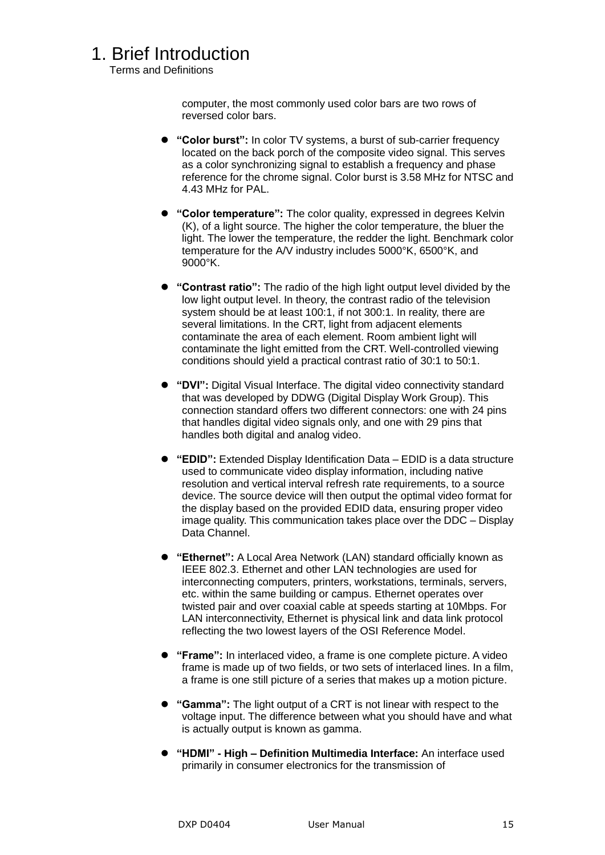Terms and Definitions

computer, the most commonly used color bars are two rows of reversed color bars.

- **"Color burst":** In color TV systems, a burst of sub-carrier frequency located on the back porch of the composite video signal. This serves as a color synchronizing signal to establish a frequency and phase reference for the chrome signal. Color burst is 3.58 MHz for NTSC and 4.43 MHz for PAL.
- **"Color temperature":** The color quality, expressed in degrees Kelvin (K), of a light source. The higher the color temperature, the bluer the light. The lower the temperature, the redder the light. Benchmark color temperature for the A/V industry includes 5000°K, 6500°K, and 9000°K.
- **"Contrast ratio":** The radio of the high light output level divided by the low light output level. In theory, the contrast radio of the television system should be at least 100:1, if not 300:1. In reality, there are several limitations. In the CRT, light from adjacent elements contaminate the area of each element. Room ambient light will contaminate the light emitted from the CRT. Well-controlled viewing conditions should yield a practical contrast ratio of 30:1 to 50:1.
- **"DVI":** Digital Visual Interface. The digital video connectivity standard that was developed by DDWG (Digital Display Work Group). This connection standard offers two different connectors: one with 24 pins that handles digital video signals only, and one with 29 pins that handles both digital and analog video.
- **"EDID":** Extended Display Identification Data EDID is a data structure used to communicate video display information, including native resolution and vertical interval refresh rate requirements, to a source device. The source device will then output the optimal video format for the display based on the provided EDID data, ensuring proper video image quality. This communication takes place over the DDC – Display Data Channel.
- **"Ethernet":** A Local Area Network (LAN) standard officially known as IEEE 802.3. Ethernet and other LAN technologies are used for interconnecting computers, printers, workstations, terminals, servers, etc. within the same building or campus. Ethernet operates over twisted pair and over coaxial cable at speeds starting at 10Mbps. For LAN interconnectivity, Ethernet is physical link and data link protocol reflecting the two lowest layers of the OSI Reference Model.
- **"Frame":** In interlaced video, a frame is one complete picture. A video frame is made up of two fields, or two sets of interlaced lines. In a film, a frame is one still picture of a series that makes up a motion picture.
- **"Gamma":** The light output of a CRT is not linear with respect to the voltage input. The difference between what you should have and what is actually output is known as gamma.
- **"HDMI" - High – Definition Multimedia Interface:** An interface used primarily in consumer electronics for the transmission of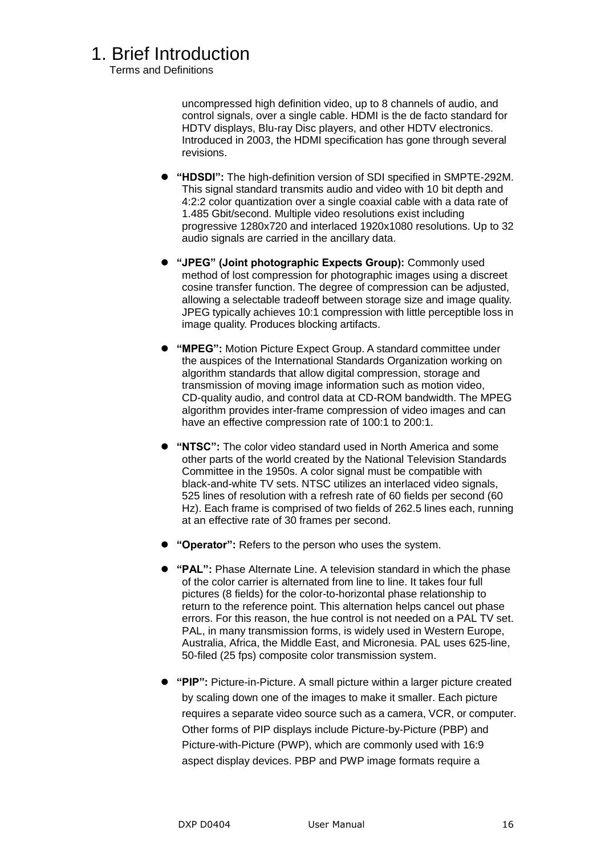Terms and Definitions

uncompressed high definition video, up to 8 channels of audio, and control signals, over a single cable. HDMI is the de facto standard for HDTV displays, Blu-ray Disc players, and other HDTV electronics. Introduced in 2003, the HDMI specification has gone through several revisions.

- **"HDSDI":** The high-definition version of SDI specified in SMPTE-292M. This signal standard transmits audio and video with 10 bit depth and 4:2:2 color quantization over a single coaxial cable with a data rate of 1.485 Gbit/second. Multiple video resolutions exist including progressive 1280x720 and interlaced 1920x1080 resolutions. Up to 32 audio signals are carried in the ancillary data.
- **"JPEG" (Joint photographic Expects Group):** Commonly used method of lost compression for photographic images using a discreet cosine transfer function. The degree of compression can be adjusted, allowing a selectable tradeoff between storage size and image quality. JPEG typically achieves 10:1 compression with little perceptible loss in image quality. Produces blocking artifacts.
- **"MPEG":** Motion Picture Expect Group. A standard committee under the auspices of the International Standards Organization working on algorithm standards that allow digital compression, storage and transmission of moving image information such as motion video, CD-quality audio, and control data at CD-ROM bandwidth. The MPEG algorithm provides inter-frame compression of video images and can have an effective compression rate of 100:1 to 200:1.
- **"NTSC":** The color video standard used in North America and some other parts of the world created by the National Television Standards Committee in the 1950s. A color signal must be compatible with black-and-white TV sets. NTSC utilizes an interlaced video signals, 525 lines of resolution with a refresh rate of 60 fields per second (60 Hz). Each frame is comprised of two fields of 262.5 lines each, running at an effective rate of 30 frames per second.
- **"Operator":** Refers to the person who uses the system.
- **"PAL":** Phase Alternate Line. A television standard in which the phase of the color carrier is alternated from line to line. It takes four full pictures (8 fields) for the color-to-horizontal phase relationship to return to the reference point. This alternation helps cancel out phase errors. For this reason, the hue control is not needed on a PAL TV set. PAL, in many transmission forms, is widely used in Western Europe, Australia, Africa, the Middle East, and Micronesia. PAL uses 625-line, 50-filed (25 fps) composite color transmission system.
- **"PIP":** Picture-in-Picture. A small picture within a larger picture created by scaling down one of the images to make it smaller. Each picture requires a separate video source such as a camera, VCR, or computer. Other forms of PIP displays include Picture-by-Picture (PBP) and Picture-with-Picture (PWP), which are commonly used with 16:9 aspect display devices. PBP and PWP image formats require a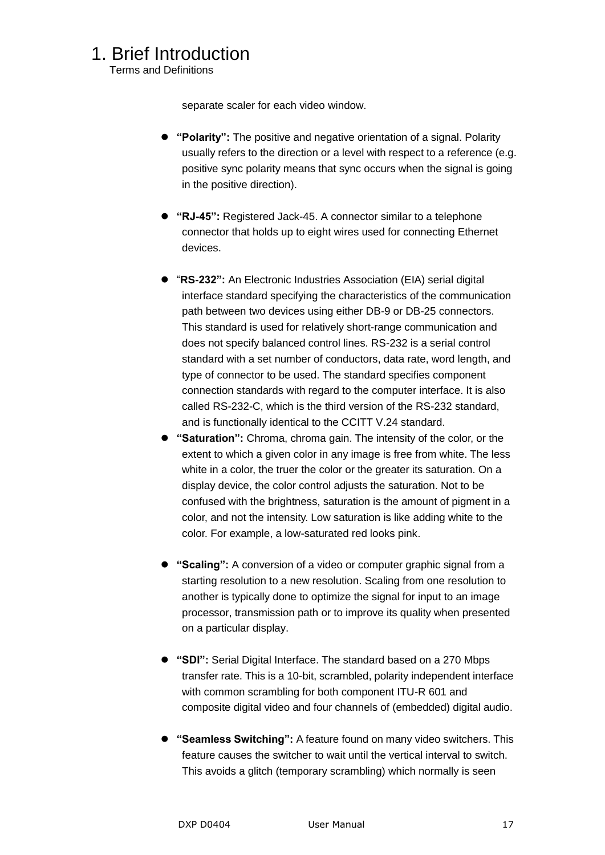Terms and Definitions

separate scaler for each video window.

- **"Polarity":** The positive and negative orientation of a signal. Polarity usually refers to the direction or a level with respect to a reference (e.g. positive sync polarity means that sync occurs when the signal is going in the positive direction).
- **"RJ-45":** Registered Jack-45. A connector similar to a telephone connector that holds up to eight wires used for connecting Ethernet devices.
- ―**RS-232":** An Electronic Industries Association (EIA) serial digital interface standard specifying the characteristics of the communication path between two devices using either DB-9 or DB-25 connectors. This standard is used for relatively short-range communication and does not specify balanced control lines. RS-232 is a serial control standard with a set number of conductors, data rate, word length, and type of connector to be used. The standard specifies component connection standards with regard to the computer interface. It is also called RS-232-C, which is the third version of the RS-232 standard, and is functionally identical to the CCITT V.24 standard.
- **"Saturation":** Chroma, chroma gain. The intensity of the color, or the extent to which a given color in any image is free from white. The less white in a color, the truer the color or the greater its saturation. On a display device, the color control adjusts the saturation. Not to be confused with the brightness, saturation is the amount of pigment in a color, and not the intensity. Low saturation is like adding white to the color. For example, a low-saturated red looks pink.
- **"Scaling":** A conversion of a video or computer graphic signal from a starting resolution to a new resolution. Scaling from one resolution to another is typically done to optimize the signal for input to an image processor, transmission path or to improve its quality when presented on a particular display.
- **"SDI":** Serial Digital Interface. The standard based on a 270 Mbps transfer rate. This is a 10-bit, scrambled, polarity independent interface with common scrambling for both component ITU-R 601 and composite digital video and four channels of (embedded) digital audio.
- **"Seamless Switching":** A feature found on many video switchers. This feature causes the switcher to wait until the vertical interval to switch. This avoids a glitch (temporary scrambling) which normally is seen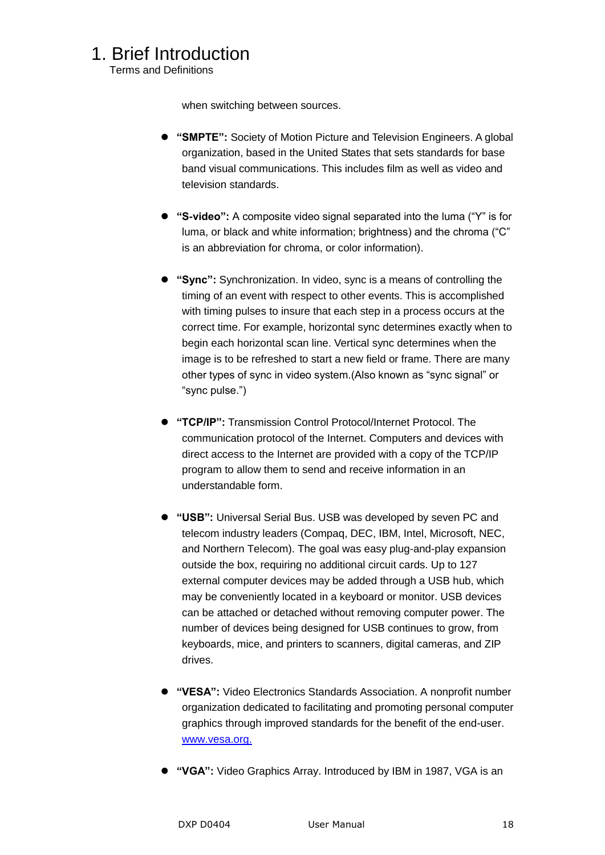Terms and Definitions

when switching between sources.

- **"SMPTE":** Society of Motion Picture and Television Engineers. A global organization, based in the United States that sets standards for base band visual communications. This includes film as well as video and television standards.
- "S-video": A composite video signal separated into the luma ("Y" is for luma, or black and white information; brightness) and the chroma ("C" is an abbreviation for chroma, or color information).
- **"Sync":** Synchronization. In video, sync is a means of controlling the timing of an event with respect to other events. This is accomplished with timing pulses to insure that each step in a process occurs at the correct time. For example, horizontal sync determines exactly when to begin each horizontal scan line. Vertical sync determines when the image is to be refreshed to start a new field or frame. There are many other types of sync in video system. (Also known as "sync signal" or ―sync pulse.‖)
- **"TCP/IP":** Transmission Control Protocol/Internet Protocol. The communication protocol of the Internet. Computers and devices with direct access to the Internet are provided with a copy of the TCP/IP program to allow them to send and receive information in an understandable form.
- **"USB":** Universal Serial Bus. USB was developed by seven PC and telecom industry leaders (Compaq, DEC, IBM, Intel, Microsoft, NEC, and Northern Telecom). The goal was easy plug-and-play expansion outside the box, requiring no additional circuit cards. Up to 127 external computer devices may be added through a USB hub, which may be conveniently located in a keyboard or monitor. USB devices can be attached or detached without removing computer power. The number of devices being designed for USB continues to grow, from keyboards, mice, and printers to scanners, digital cameras, and ZIP drives.
- **"VESA":** Video Electronics Standards Association. A nonprofit number organization dedicated to facilitating and promoting personal computer graphics through improved standards for the benefit of the end-user. [www.vesa.org.](http://www.vesa.org./)
- **"VGA":** Video Graphics Array. Introduced by IBM in 1987, VGA is an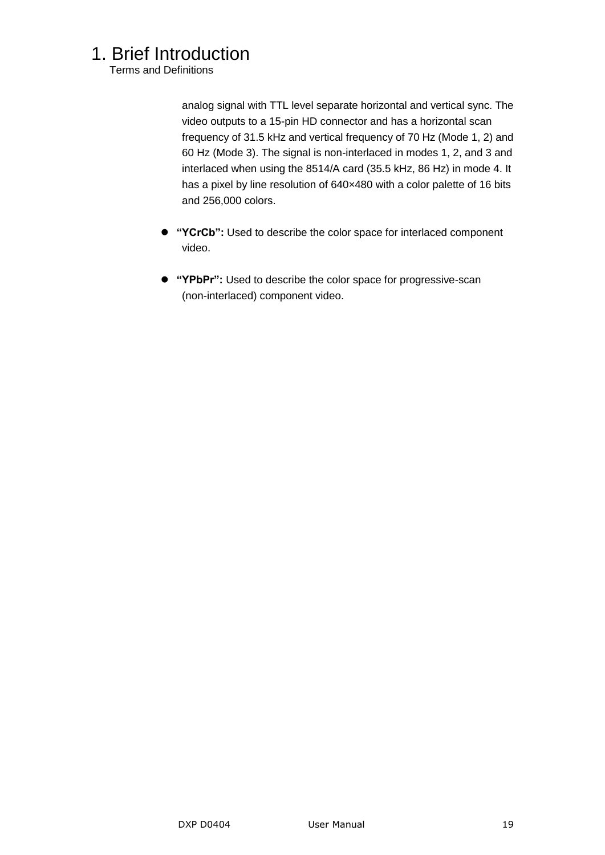Terms and Definitions

analog signal with TTL level separate horizontal and vertical sync. The video outputs to a 15-pin HD connector and has a horizontal scan frequency of 31.5 kHz and vertical frequency of 70 Hz (Mode 1, 2) and 60 Hz (Mode 3). The signal is non-interlaced in modes 1, 2, and 3 and interlaced when using the 8514/A card (35.5 kHz, 86 Hz) in mode 4. It has a pixel by line resolution of 640×480 with a color palette of 16 bits and 256,000 colors.

- **"YCrCb":** Used to describe the color space for interlaced component video.
- **"YPbPr":** Used to describe the color space for progressive-scan (non-interlaced) component video.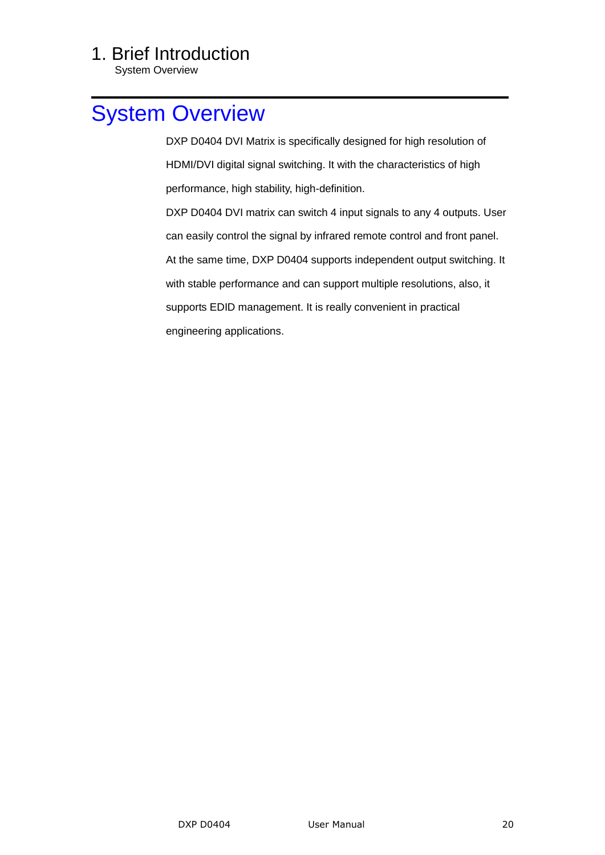System Overview

## <span id="page-19-0"></span>[System Overview](#page-10-4)

 DXP D0404 DVI Matrix is specifically designed for high resolution of HDMI/DVI digital signal switching. It with the characteristics of high performance, high stability, high-definition.

 DXP D0404 DVI matrix can switch 4 input signals to any 4 outputs. User can easily control the signal by infrared remote control and front panel. At the same time, DXP D0404 supports independent output switching. It with stable performance and can support multiple resolutions, also, it supports EDID management. It is really convenient in practical engineering applications.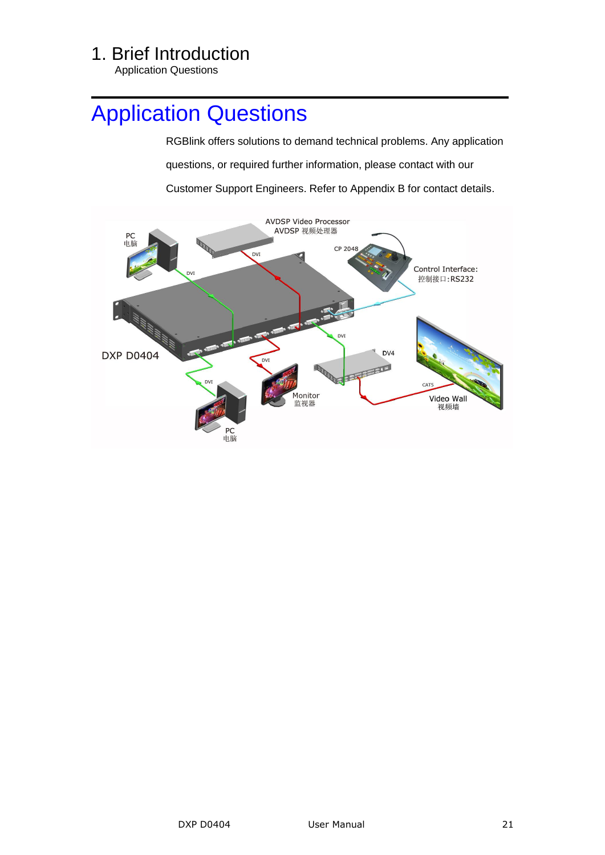<span id="page-20-0"></span>Application Questions

## <span id="page-20-1"></span>[Application Questions](#page-10-5)

 RGBlink offers solutions to demand technical problems. Any application questions, or required further information, please contact with our Customer Support Engineers. Refer to Appendix B for contact details.

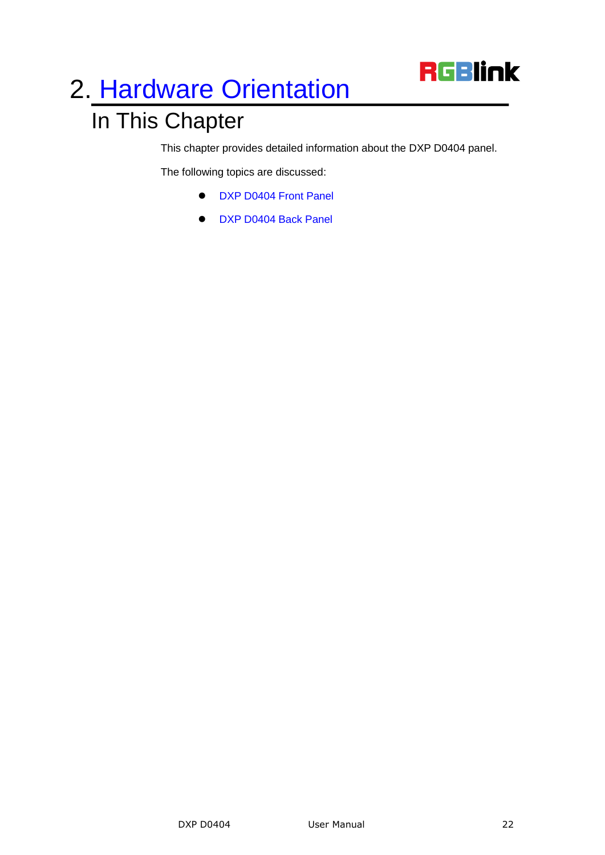

# <span id="page-21-0"></span>2. [Hardware Orientation](#page-11-2)

## <span id="page-21-1"></span>In This Chapter

This chapter provides detailed information about the DXP D0404 panel.

<span id="page-21-3"></span><span id="page-21-2"></span>The following topics are discussed:

- **[DXP D0404](#page-22-0) Front Panel**
- [DXP D0404](#page-23-0) Back Panel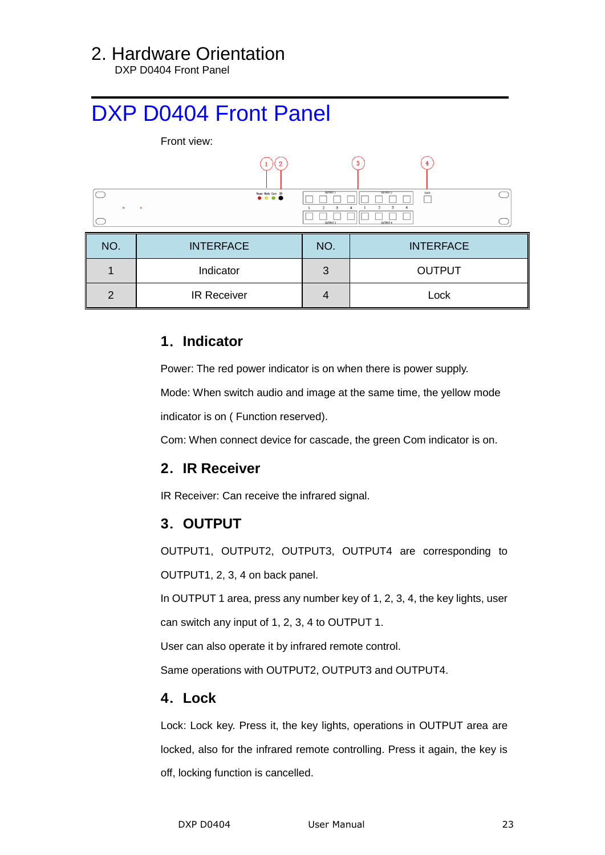#### 2. Hardware Orientation

DXP D0404 Front Panel

## <span id="page-22-0"></span>[DXP D0404](#page-21-2) Front Panel



#### <span id="page-22-1"></span>**1**.**Indicator**

Power: The red power indicator is on when there is power supply.

Mode: When switch audio and image at the same time, the yellow mode

indicator is on ( Function reserved).

Com: When connect device for cascade, the green Com indicator is on.

#### <span id="page-22-2"></span>**2**.**IR Receiver**

IR Receiver: Can receive the infrared signal.

#### <span id="page-22-3"></span>**3**.**OUTPUT**

OUTPUT1, OUTPUT2, OUTPUT3, OUTPUT4 are corresponding to OUTPUT1, 2, 3, 4 on back panel.

 In OUTPUT 1 area, press any number key of 1, 2, 3, 4, the key lights, user can switch any input of 1, 2, 3, 4 to OUTPUT 1.

User can also operate it by infrared remote control.

Same operations with OUTPUT2, OUTPUT3 and OUTPUT4.

#### <span id="page-22-4"></span>**4**.**Lock**

Lock: Lock key. Press it, the key lights, operations in OUTPUT area are locked, also for the infrared remote controlling. Press it again, the key is off, locking function is cancelled.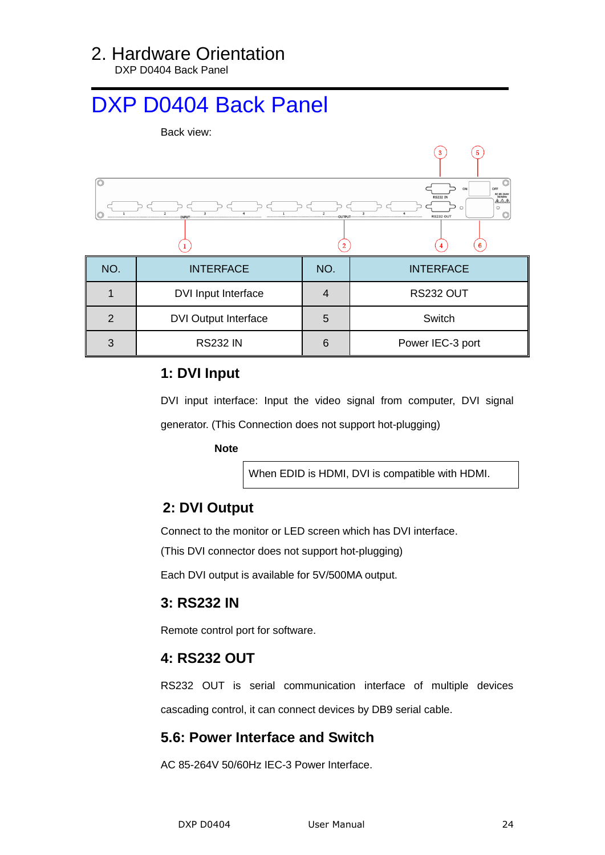#### 2. Hardware Orientation

DXP D0404 Back Panel

## <span id="page-23-0"></span>[DXP D0404](#page-21-3) Back Panel



#### <span id="page-23-1"></span>**1: DVI Input**

DVI input interface: Input the video signal from computer, DVI signal generator. (This Connection does not support hot-plugging)

 **Note**

When EDID is HDMI, DVI is compatible with HDMI.

#### <span id="page-23-2"></span> **2: DVI Output**

Connect to the monitor or LED screen which has DVI interface.

(This DVI connector does not support hot-plugging)

Each DVI output is available for 5V/500MA output.

#### <span id="page-23-3"></span>**3: RS232 IN**

Remote control port for software.

#### <span id="page-23-4"></span>**4: RS232 OUT**

RS232 OUT is serial communication interface of multiple devices cascading control, it can connect devices by DB9 serial cable.

#### <span id="page-23-5"></span>**5.6: Power Interface and Switch**

AC 85-264V 50/60Hz IEC-3 Power Interface.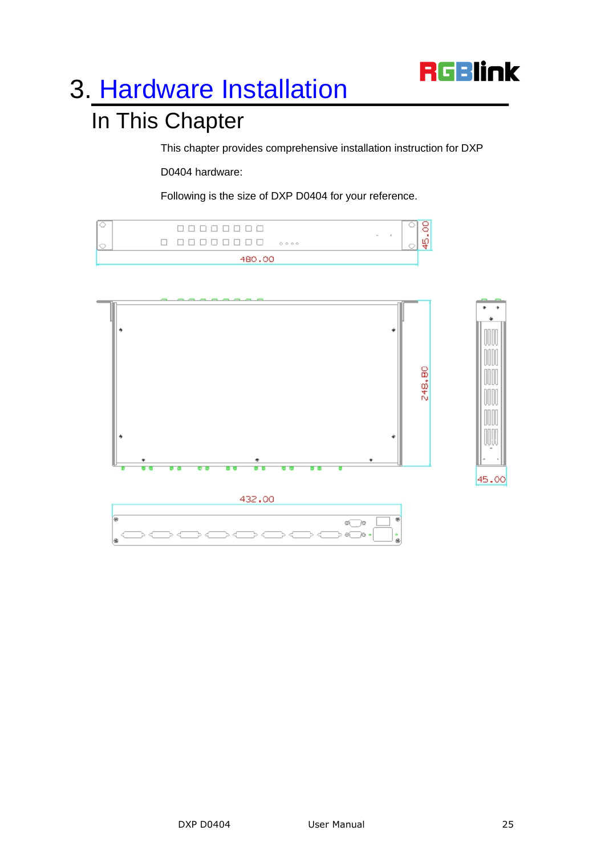

# <span id="page-24-0"></span>3. [Hardware Installation](#page-11-3)

## <span id="page-24-1"></span>In This Chapter

This chapter provides comprehensive installation instruction for DXP

D0404 hardware:

Following is the size of DXP D0404 for your reference.

| 4BO.00 |                            |        |  |                          |  |
|--------|----------------------------|--------|--|--------------------------|--|
|        | <u> BEBERIK BI</u><br>0000 | $\sim$ |  | $\overline{\phantom{a}}$ |  |
|        | <b>FUEL TELEVISION</b>     |        |  |                          |  |

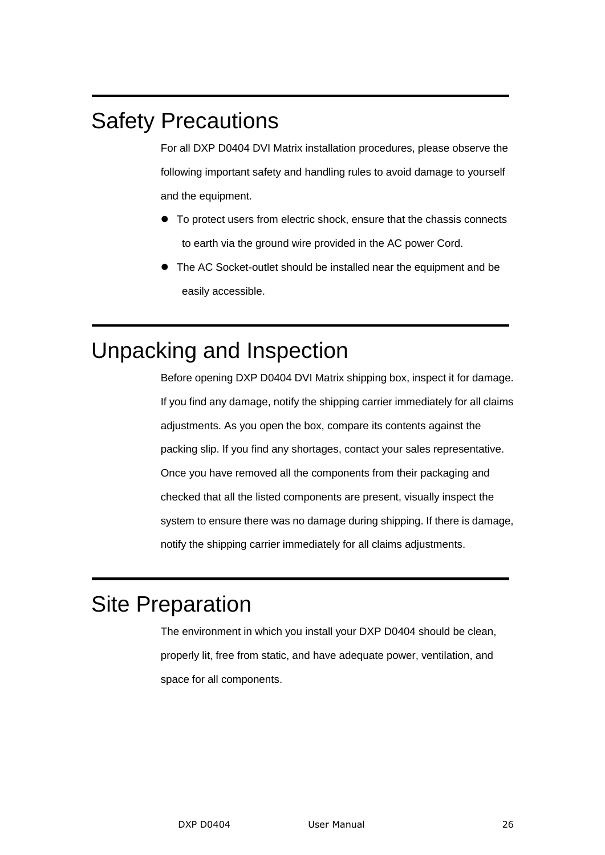## <span id="page-25-0"></span>Safety Precautions

For all DXP D0404 DVI Matrix installation procedures, please observe the following important safety and handling rules to avoid damage to yourself and the equipment.

- To protect users from electric shock, ensure that the chassis connects to earth via the ground wire provided in the AC power Cord.
- The AC Socket-outlet should be installed near the equipment and be easily accessible.

## <span id="page-25-1"></span>Unpacking and Inspection

Before opening DXP D0404 DVI Matrix shipping box, inspect it for damage. If you find any damage, notify the shipping carrier immediately for all claims adjustments. As you open the box, compare its contents against the packing slip. If you find any shortages, contact your sales representative. Once you have removed all the components from their packaging and checked that all the listed components are present, visually inspect the system to ensure there was no damage during shipping. If there is damage, notify the shipping carrier immediately for all claims adjustments.

## <span id="page-25-2"></span>Site Preparation

The environment in which you install your DXP D0404 should be clean, properly lit, free from static, and have adequate power, ventilation, and space for all components.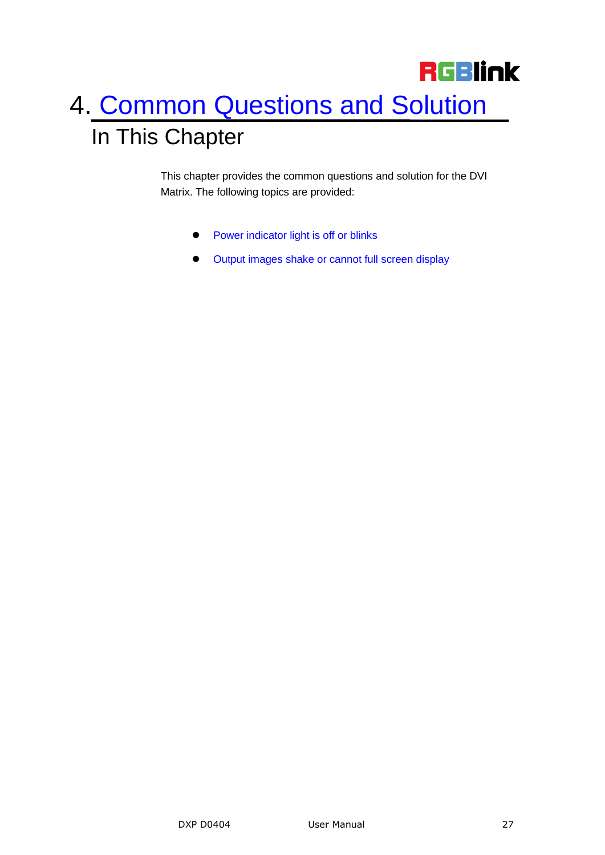# <span id="page-26-1"></span><span id="page-26-0"></span>**RGBlink** 4. [Common Questions and Solution](#page-11-4) In This Chapter

<span id="page-26-2"></span>This chapter provides the common questions and solution for the DVI Matrix. The following topics are provided:

- **•** [Power indicator light is off or blinks](#page-27-2)
- <span id="page-26-3"></span> $\bullet$  [Output images shake or cannot full screen display](#page-27-1)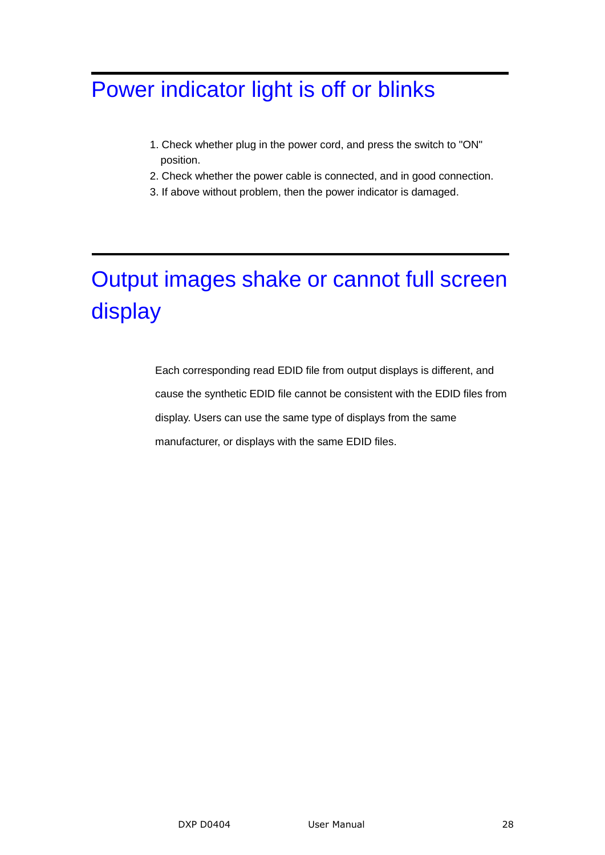## <span id="page-27-2"></span><span id="page-27-0"></span>[Power indicator light is off or blinks](#page-26-2)

- 1. Check whether plug in the power cord, and press the switch to "ON" position.
- 2. Check whether the power cable is connected, and in good connection.
- 3. If above without problem, then the power indicator is damaged.

## <span id="page-27-1"></span>[Output images shake or cannot full screen](#page-26-3)  [display](#page-26-3)

 Each corresponding read EDID file from output displays is different, and cause the synthetic EDID file cannot be consistent with the EDID files from display. Users can use the same type of displays from the same manufacturer, or displays with the same EDID files.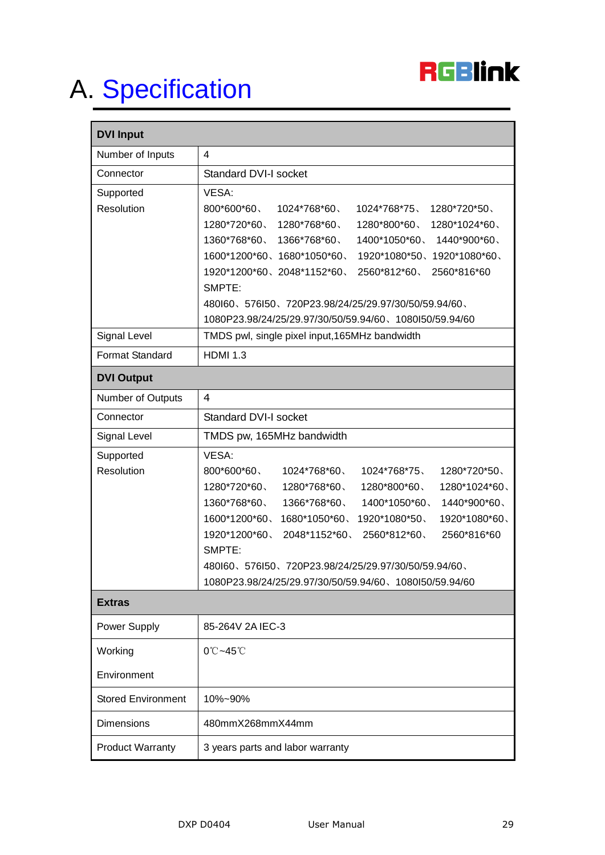

# <span id="page-28-0"></span>A. [Specification](#page-11-5)

| <b>DVI Input</b>          |                                                                                                                                      |  |
|---------------------------|--------------------------------------------------------------------------------------------------------------------------------------|--|
| Number of Inputs          | 4                                                                                                                                    |  |
| Connector                 | <b>Standard DVI-I socket</b>                                                                                                         |  |
| Supported                 | VESA:                                                                                                                                |  |
| Resolution                | 800*600*60、<br>1024*768*60<br>1024*768*75、<br>1280*720*50                                                                            |  |
|                           | $1280*720*60$ , $1280*768*60$ ,<br>1280*800*60、<br>1280*1024*60、<br>$1360*768*60$ , $1366*768*60$ ,<br>1400*1050*60、<br>1440*900*60、 |  |
|                           | 1600*1200*60、1680*1050*60、<br>1920*1080*50、1920*1080*60、                                                                             |  |
|                           | 1920*1200*60、2048*1152*60、<br>2560*812*60<br>2560*816*60                                                                             |  |
|                           | SMPTE:                                                                                                                               |  |
|                           | 480160、576150、720P23.98/24/25/29.97/30/50/59.94/60、                                                                                  |  |
|                           | 1080P23.98/24/25/29.97/30/50/59.94/60、1080150/59.94/60                                                                               |  |
| Signal Level              | TMDS pwl, single pixel input, 165MHz bandwidth                                                                                       |  |
| Format Standard           | <b>HDMI 1.3</b>                                                                                                                      |  |
| <b>DVI Output</b>         |                                                                                                                                      |  |
| Number of Outputs         | 4                                                                                                                                    |  |
| Connector                 | <b>Standard DVI-I socket</b>                                                                                                         |  |
| Signal Level              | TMDS pw, 165MHz bandwidth                                                                                                            |  |
| Supported                 | VESA:                                                                                                                                |  |
| Resolution                | 800*600*60、<br>1024*768*60、<br>1024*768*75、<br>1280*720*50                                                                           |  |
|                           | 1280*720*60、<br>1280*768*60、<br>1280*800*60、<br>1280*1024*60、                                                                        |  |
|                           | 1360*768*60<br>1366*768*60<br>1400*1050*60<br>1440*900*60、                                                                           |  |
|                           | 1600*1200*60<br>1680*1050*60、<br>1920*1080*50<br>1920*1080*60、                                                                       |  |
|                           | 1920*1200*60、<br>2048*1152*60<br>2560*812*60<br>2560*816*60                                                                          |  |
|                           | SMPTE:                                                                                                                               |  |
|                           | 480160、576150、720P23.98/24/25/29.97/30/50/59.94/60、<br>1080P23.98/24/25/29.97/30/50/59.94/60、1080I50/59.94/60                        |  |
| <b>Extras</b>             |                                                                                                                                      |  |
| Power Supply              | 85-264V 2A IEC-3                                                                                                                     |  |
| Working                   | $0^\circ$ C~45 $^\circ$ C                                                                                                            |  |
|                           |                                                                                                                                      |  |
| Environment               |                                                                                                                                      |  |
| <b>Stored Environment</b> | 10%~90%                                                                                                                              |  |
| <b>Dimensions</b>         | 480mmX268mmX44mm                                                                                                                     |  |
| <b>Product Warranty</b>   | 3 years parts and labor warranty                                                                                                     |  |